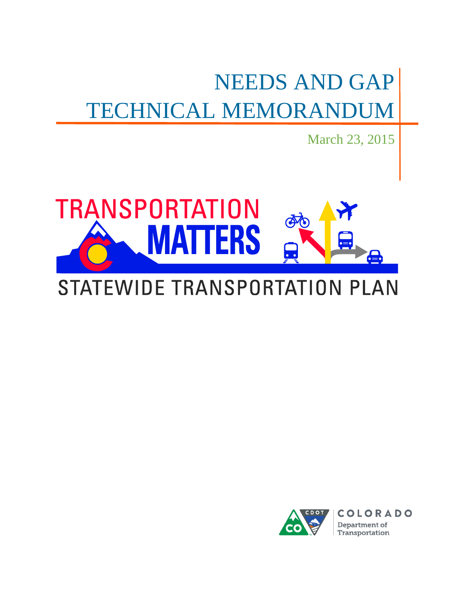# NEEDS AND GAP TECHNICAL MEMORANDUM

March 23, 2015



# STATEWIDE TRANSPORTATION PLAN

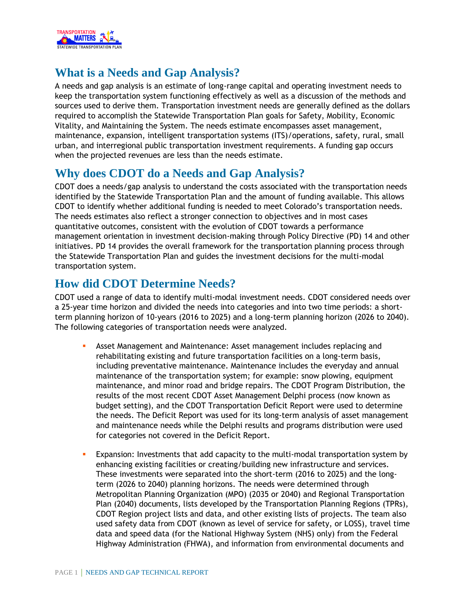

# **What is a Needs and Gap Analysis?**

A needs and gap analysis is an estimate of long-range capital and operating investment needs to keep the transportation system functioning effectively as well as a discussion of the methods and sources used to derive them. Transportation investment needs are generally defined as the dollars required to accomplish the Statewide Transportation Plan goals for Safety, Mobility, Economic Vitality, and Maintaining the System. The needs estimate encompasses asset management, maintenance, expansion, intelligent transportation systems (ITS)/operations, safety, rural, small urban, and interregional public transportation investment requirements. A funding gap occurs when the projected revenues are less than the needs estimate.

### **Why does CDOT do a Needs and Gap Analysis?**

CDOT does a needs/gap analysis to understand the costs associated with the transportation needs identified by the Statewide Transportation Plan and the amount of funding available. This allows CDOT to identify whether additional funding is needed to meet Colorado's transportation needs. The needs estimates also reflect a stronger connection to objectives and in most cases quantitative outcomes, consistent with the evolution of CDOT towards a performance management orientation in investment decision-making through Policy Directive (PD) 14 and other initiatives. PD 14 provides the overall framework for the transportation planning process through the Statewide Transportation Plan and guides the investment decisions for the multi-modal transportation system.

## **How did CDOT Determine Needs?**

CDOT used a range of data to identify multi-modal investment needs. CDOT considered needs over a 25-year time horizon and divided the needs into categories and into two time periods: a shortterm planning horizon of 10-years (2016 to 2025) and a long-term planning horizon (2026 to 2040). The following categories of transportation needs were analyzed.

- Asset Management and Maintenance: Asset management includes replacing and rehabilitating existing and future transportation facilities on a long-term basis, including preventative maintenance. Maintenance includes the everyday and annual maintenance of the transportation system; for example: snow plowing, equipment maintenance, and minor road and bridge repairs. The CDOT Program Distribution, the results of the most recent CDOT Asset Management Delphi process (now known as budget setting), and the CDOT Transportation Deficit Report were used to determine the needs. The Deficit Report was used for its long-term analysis of asset management and maintenance needs while the Delphi results and programs distribution were used for categories not covered in the Deficit Report.
- Expansion: Investments that add capacity to the multi-modal transportation system by enhancing existing facilities or creating/building new infrastructure and services. These investments were separated into the short-term (2016 to 2025) and the longterm (2026 to 2040) planning horizons. The needs were determined through Metropolitan Planning Organization (MPO) (2035 or 2040) and Regional Transportation Plan (2040) documents, lists developed by the Transportation Planning Regions (TPRs), CDOT Region project lists and data, and other existing lists of projects. The team also used safety data from CDOT (known as level of service for safety, or LOSS), travel time data and speed data (for the National Highway System (NHS) only) from the Federal Highway Administration (FHWA), and information from environmental documents and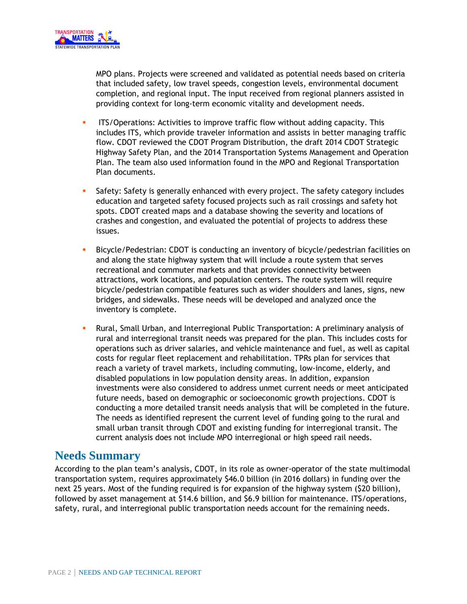

MPO plans. Projects were screened and validated as potential needs based on criteria that included safety, low travel speeds, congestion levels, environmental document completion, and regional input. The input received from regional planners assisted in providing context for long-term economic vitality and development needs.

- ITS/Operations: Activities to improve traffic flow without adding capacity. This includes ITS, which provide traveler information and assists in better managing traffic flow. CDOT reviewed the CDOT Program Distribution, the draft 2014 CDOT Strategic Highway Safety Plan, and the 2014 Transportation Systems Management and Operation Plan. The team also used information found in the MPO and Regional Transportation Plan documents.
- Safety: Safety is generally enhanced with every project. The safety category includes education and targeted safety focused projects such as rail crossings and safety hot spots. CDOT created maps and a database showing the severity and locations of crashes and congestion, and evaluated the potential of projects to address these issues.
- Bicycle/Pedestrian: CDOT is conducting an inventory of bicycle/pedestrian facilities on and along the state highway system that will include a route system that serves recreational and commuter markets and that provides connectivity between attractions, work locations, and population centers. The route system will require bicycle/pedestrian compatible features such as wider shoulders and lanes, signs, new bridges, and sidewalks. These needs will be developed and analyzed once the inventory is complete.
- Rural, Small Urban, and Interregional Public Transportation: A preliminary analysis of rural and interregional transit needs was prepared for the plan. This includes costs for operations such as driver salaries, and vehicle maintenance and fuel, as well as capital costs for regular fleet replacement and rehabilitation. TPRs plan for services that reach a variety of travel markets, including commuting, low-income, elderly, and disabled populations in low population density areas. In addition, expansion investments were also considered to address unmet current needs or meet anticipated future needs, based on demographic or socioeconomic growth projections. CDOT is conducting a more detailed transit needs analysis that will be completed in the future. The needs as identified represent the current level of funding going to the rural and small urban transit through CDOT and existing funding for interregional transit. The current analysis does not include MPO interregional or high speed rail needs.

#### **Needs Summary**

According to the plan team's analysis, CDOT, in its role as owner-operator of the state multimodal transportation system, requires approximately \$46.0 billion (in 2016 dollars) in funding over the next 25 years. Most of the funding required is for expansion of the highway system (\$20 billion), followed by asset management at \$14.6 billion, and \$6.9 billion for maintenance. ITS/operations, safety, rural, and interregional public transportation needs account for the remaining needs.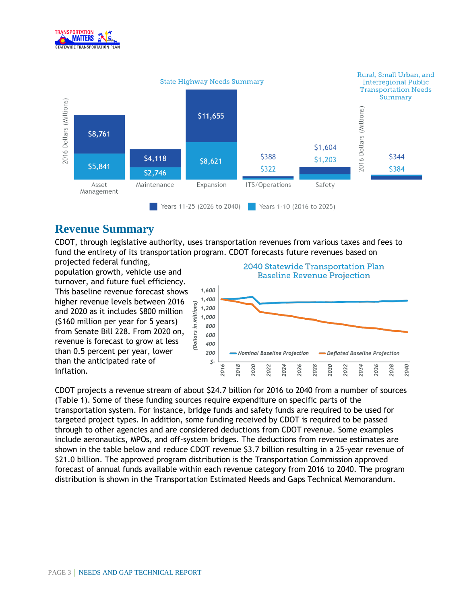



#### **Revenue Summary**

CDOT, through legislative authority, uses transportation revenues from various taxes and fees to fund the entirety of its transportation program. CDOT forecasts future revenues based on

projected federal funding, population growth, vehicle use and turnover, and future fuel efficiency. This baseline revenue forecast shows higher revenue levels between 2016 and 2020 as it includes \$800 million (\$160 million per year for 5 years) from Senate Bill 228. From 2020 on, revenue is forecast to grow at less than 0.5 percent per year, lower than the anticipated rate of inflation.



CDOT projects a revenue stream of about \$24.7 billion for 2016 to 2040 from a number of sources (Table 1). Some of these funding sources require expenditure on specific parts of the transportation system. For instance, bridge funds and safety funds are required to be used for targeted project types. In addition, some funding received by CDOT is required to be passed through to other agencies and are considered deductions from CDOT revenue. Some examples include aeronautics, MPOs, and off-system bridges. The deductions from revenue estimates are shown in the table below and reduce CDOT revenue \$3.7 billion resulting in a 25-year revenue of \$21.0 billion. The approved program distribution is the Transportation Commission approved forecast of annual funds available within each revenue category from 2016 to 2040. The program distribution is shown in the Transportation Estimated Needs and Gaps Technical Memorandum.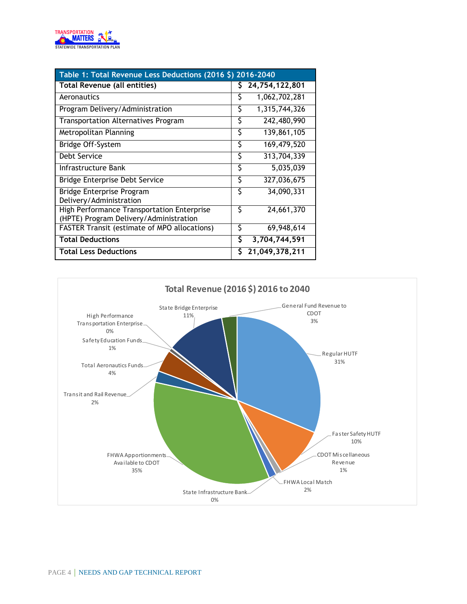

| Table 1: Total Revenue Less Deductions (2016 \$) 2016-2040                           |    |                |  |  |  |  |  |  |
|--------------------------------------------------------------------------------------|----|----------------|--|--|--|--|--|--|
| Total Revenue (all entities)                                                         |    | 24,754,122,801 |  |  |  |  |  |  |
| Aeronautics                                                                          | S  | 1,062,702,281  |  |  |  |  |  |  |
| Program Delivery/Administration                                                      | \$ | 1,315,744,326  |  |  |  |  |  |  |
| <b>Transportation Alternatives Program</b>                                           | \$ | 242,480,990    |  |  |  |  |  |  |
| Metropolitan Planning                                                                | \$ | 139,861,105    |  |  |  |  |  |  |
| Bridge Off-System                                                                    | \$ | 169,479,520    |  |  |  |  |  |  |
| Debt Service                                                                         | \$ | 313,704,339    |  |  |  |  |  |  |
| Infrastructure Bank                                                                  | \$ | 5,035,039      |  |  |  |  |  |  |
| Bridge Enterprise Debt Service                                                       | \$ | 327,036,675    |  |  |  |  |  |  |
| Bridge Enterprise Program<br>Delivery/Administration                                 | \$ | 34,090,331     |  |  |  |  |  |  |
| High Performance Transportation Enterprise<br>(HPTE) Program Delivery/Administration | Š  | 24,661,370     |  |  |  |  |  |  |
| <b>FASTER Transit (estimate of MPO allocations)</b>                                  | \$ | 69,948,614     |  |  |  |  |  |  |
| <b>Total Deductions</b>                                                              |    | 3,704,744,591  |  |  |  |  |  |  |
| <b>Total Less Deductions</b>                                                         |    | 21,049,378,211 |  |  |  |  |  |  |

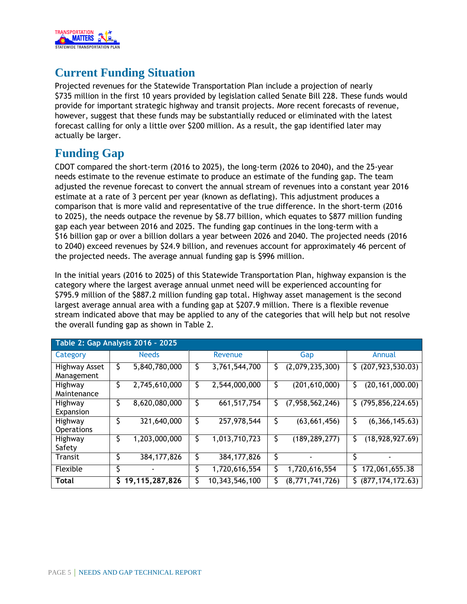

# **Current Funding Situation**

Projected revenues for the Statewide Transportation Plan include a projection of nearly \$735 million in the first 10 years provided by legislation called Senate Bill 228. These funds would provide for important strategic highway and transit projects. More recent forecasts of revenue, however, suggest that these funds may be substantially reduced or eliminated with the latest forecast calling for only a little over \$200 million. As a result, the gap identified later may actually be larger.

#### **Funding Gap**

CDOT compared the short-term (2016 to 2025), the long-term (2026 to 2040), and the 25-year needs estimate to the revenue estimate to produce an estimate of the funding gap. The team adjusted the revenue forecast to convert the annual stream of revenues into a constant year 2016 estimate at a rate of 3 percent per year (known as deflating). This adjustment produces a comparison that is more valid and representative of the true difference. In the short-term (2016 to 2025), the needs outpace the revenue by \$8.77 billion, which equates to \$877 million funding gap each year between 2016 and 2025. The funding gap continues in the long-term with a \$16 billion gap or over a billion dollars a year between 2026 and 2040. The projected needs (2016 to 2040) exceed revenues by \$24.9 billion, and revenues account for approximately 46 percent of the projected needs. The average annual funding gap is \$996 million.

In the initial years (2016 to 2025) of this Statewide Transportation Plan, highway expansion is the category where the largest average annual unmet need will be experienced accounting for \$795.9 million of the \$887.2 million funding gap total. Highway asset management is the second largest average annual area with a funding gap at \$207.9 million. There is a flexible revenue stream indicated above that may be applied to any of the categories that will help but not resolve the overall funding gap as shown in Table 2.

| Table 2: Gap Analysis 2016 - 2025 |    |                |  |                |    |                 |                          |  |
|-----------------------------------|----|----------------|--|----------------|----|-----------------|--------------------------|--|
| Category                          |    | <b>Needs</b>   |  | Revenue        |    | Gap             | Annual                   |  |
| Highway Asset<br>Management       | S  | 5,840,780,000  |  | 3,761,544,700  | Ş  | (2,079,235,300) | \$ (207, 923, 530.03)    |  |
| Highway<br>Maintenance            | \$ | 2,745,610,000  |  | 2,544,000,000  |    | (201, 610, 000) | (20, 161, 000.00)<br>S   |  |
| Highway<br>Expansion              | \$ | 8,620,080,000  |  | 661, 517, 754  | Ş. | (7,958,562,246) | (795, 856, 224.65)<br>S. |  |
| Highway<br><b>Operations</b>      | \$ | 321,640,000    |  | 257,978,544    |    | (63, 661, 456)  | (6,366,145.63)           |  |
| Highway<br>Safety                 | \$ | 1,203,000,000  |  | 1,013,710,723  | \$ | (189, 289, 277) | (18, 928, 927.69)<br>S   |  |
| Transit                           |    | 384, 177, 826  |  | 384, 177, 826  | \$ |                 |                          |  |
| Flexible                          |    |                |  | 1,720,616,554  |    | 1,720,616,554   | 172,061,655.38           |  |
| <b>Total</b>                      | \$ | 19,115,287,826 |  | 10,343,546,100 |    | (8,771,741,726) | (877, 174, 172.63)<br>S. |  |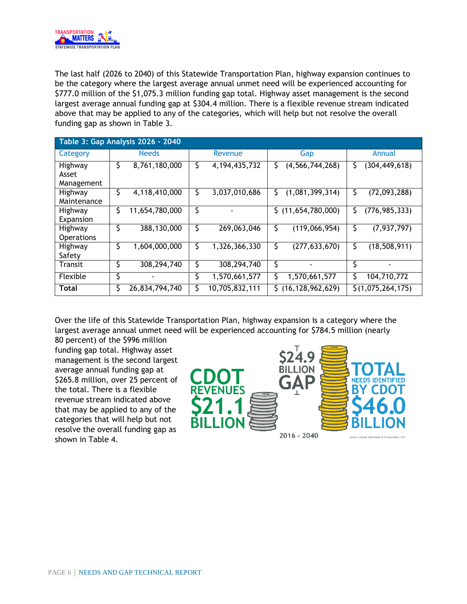

The last half (2026 to 2040) of this Statewide Transportation Plan, highway expansion continues to be the category where the largest average annual unmet need will be experienced accounting for \$777.0 million of the \$1,075.3 million funding gap total. Highway asset management is the second largest average annual funding gap at \$304.4 million. There is a flexible revenue stream indicated above that may be applied to any of the categories, which will help but not resolve the overall funding gap as shown in Table 3.

| Table 3: Gap Analysis 2026 - 2040 |    |                |         |                  |     |                     |    |                   |  |  |
|-----------------------------------|----|----------------|---------|------------------|-----|---------------------|----|-------------------|--|--|
| Category                          |    | <b>Needs</b>   | Revenue |                  | Gap |                     |    | Annual            |  |  |
| Highway<br>Asset<br>Management    | \$ | 8,761,180,000  | \$      | 4, 194, 435, 732 | S   | (4, 566, 744, 268)  | S  | (304, 449, 618)   |  |  |
| Highway<br>Maintenance            | S  | 4,118,410,000  | \$.     | 3,037,010,686    | S.  | (1,081,399,314)     | S  | (72,093,288)      |  |  |
| Highway<br>Expansion              | \$ | 11,654,780,000 | \$      |                  | S.  | (11,654,780,000)    | S  | (776, 985, 333)   |  |  |
| Highway<br><b>Operations</b>      | C  | 388,130,000    | \$      | 269,063,046      | Ş   | (119,066,954)       | \$ | (7, 937, 797)     |  |  |
| Highway<br>Safety                 | Ş  | 1,604,000,000  | \$      | 1,326,366,330    | \$  | (277, 633, 670)     | S  | (18, 508, 911)    |  |  |
| <b>Transit</b>                    | S  | 308,294,740    | Ş       | 308,294,740      | \$  |                     | \$ |                   |  |  |
| Flexible                          | \$ |                | \$      | 1,570,661,577    |     | 1,570,661,577       | Ś  | 104,710,772       |  |  |
| <b>Total</b>                      | \$ | 26,834,794,740 | \$      | 10,705,832,111   | S.  | (16, 128, 962, 629) |    | \$(1,075,264,175) |  |  |

Over the life of this Statewide Transportation Plan, highway expansion is a category where the largest average annual unmet need will be experienced accounting for \$784.5 million (nearly

80 percent) of the \$996 million funding gap total. Highway asset management is the second largest average annual funding gap at \$265.8 million, over 25 percent of the total. There is a flexible revenue stream indicated above that may be applied to any of the categories that will help but not resolve the overall funding gap as shown in Table 4.